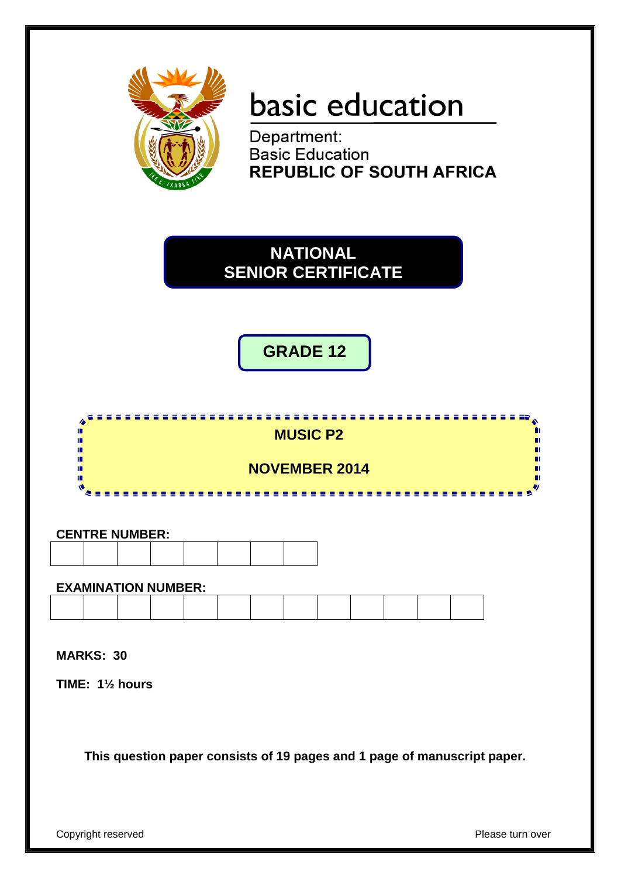

# basic education

Department: **Basic Education REPUBLIC OF SOUTH AFRICA** 



**GRADE 12**



#### **CENTRE NUMBER:**

#### **EXAMINATION NUMBER:**

**MARKS: 30**

**TIME: 1½ hours**

**This question paper consists of 19 pages and 1 page of manuscript paper.**

Copyright reserved **Please** turn over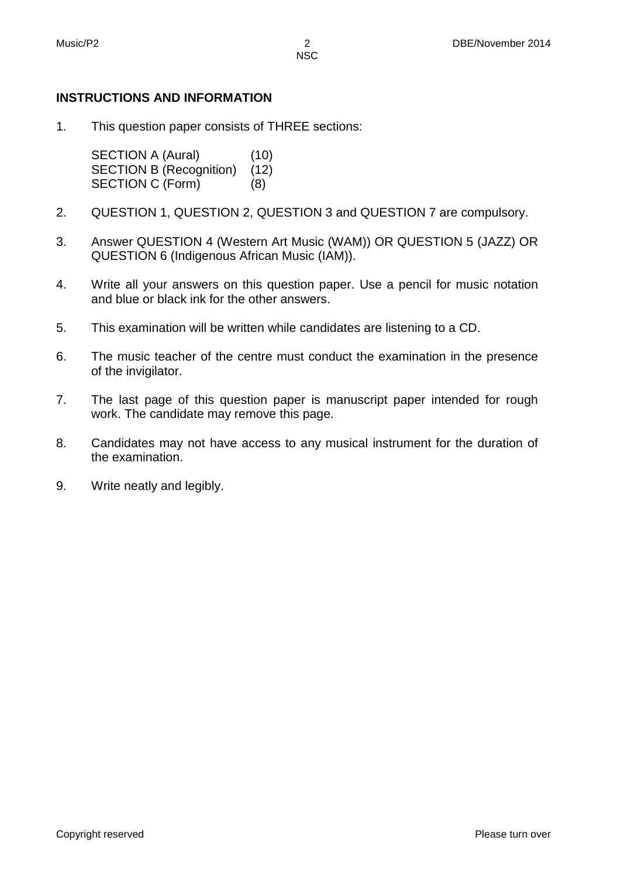#### **INSTRUCTIONS AND INFORMATION**

1. This question paper consists of THREE sections:

> SECTION A (Aural) (10)<br>SECTION B (Recognition) (12) SECTION B (Recognition) SECTION C (Form) (8)

- 2. QUESTION 1, QUESTION 2, QUESTION 3 and QUESTION 7 are compulsory.
- 3. Answer QUESTION 4 (Western Art Music (WAM)) OR QUESTION 5 (JAZZ) OR QUESTION 6 (Indigenous African Music (IAM)).
- 4. Write all your answers on this question paper. Use a pencil for music notation and blue or black ink for the other answers.
- 5. This examination will be written while candidates are listening to a CD.
- 6. The music teacher of the centre must conduct the examination in the presence of the invigilator.
- 7. The last page of this question paper is manuscript paper intended for rough work. The candidate may remove this page.
- 8. Candidates may not have access to any musical instrument for the duration of the examination.
- 9. Write neatly and legibly.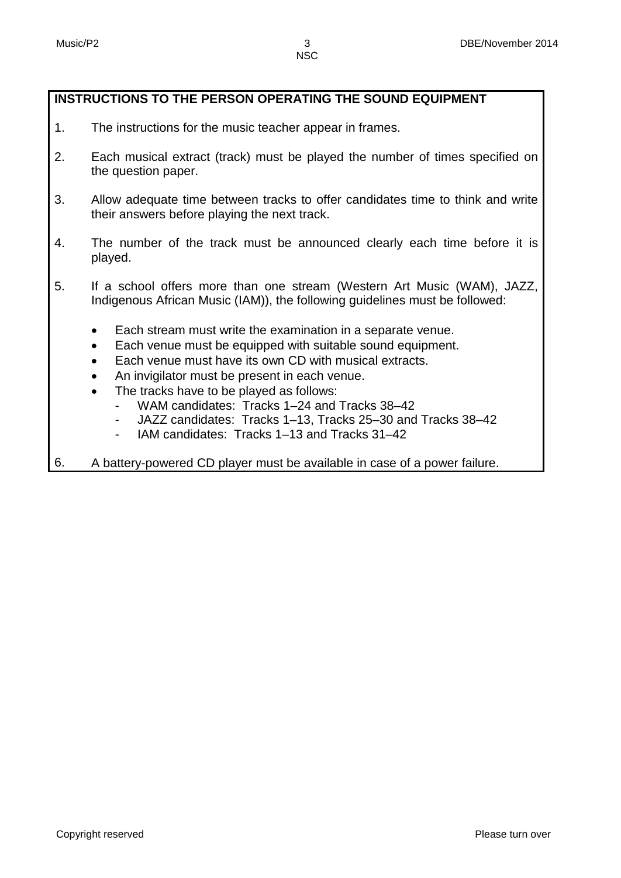#### **INSTRUCTIONS TO THE PERSON OPERATING THE SOUND EQUIPMENT**

- 1. The instructions for the music teacher appear in frames.
- 2. Each musical extract (track) must be played the number of times specified on the question paper.
- 3. Allow adequate time between tracks to offer candidates time to think and write their answers before playing the next track.
- 4. The number of the track must be announced clearly each time before it is played.
- 5. If a school offers more than one stream (Western Art Music (WAM), JAZZ, Indigenous African Music (IAM)), the following guidelines must be followed:
	- Each stream must write the examination in a separate venue.
	- Each venue must be equipped with suitable sound equipment.
	- Each venue must have its own CD with musical extracts.
	- An invigilator must be present in each venue.
	- The tracks have to be played as follows:
		- WAM candidates: Tracks 1–24 and Tracks 38–42
		- JAZZ candidates: Tracks 1–13, Tracks 25–30 and Tracks 38–42
		- IAM candidates: Tracks 1-13 and Tracks 31-42
- 6. A battery-powered CD player must be available in case of a power failure.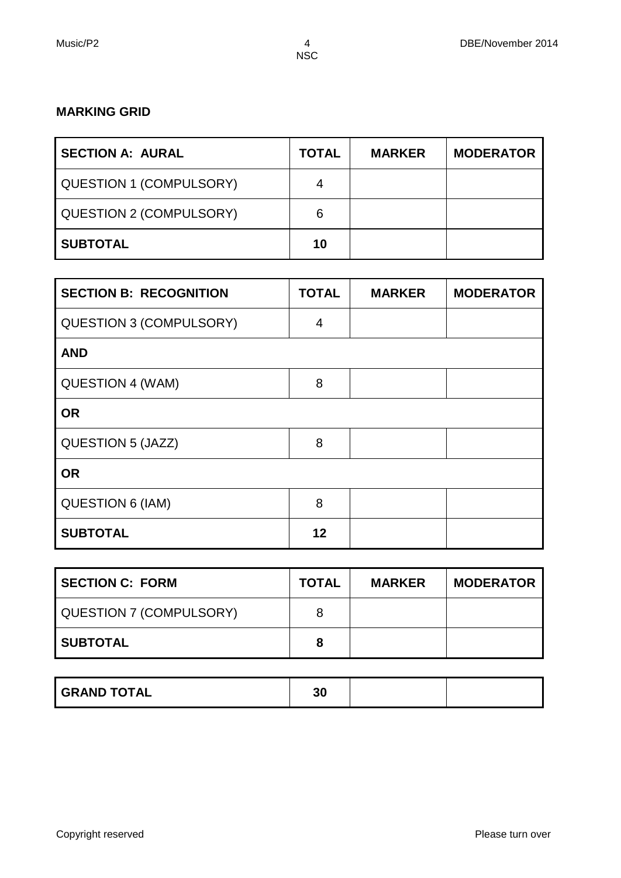# **MARKING GRID**

| <b>SECTION A: AURAL</b>        | <b>TOTAL</b> | <b>MARKER</b> | <b>MODERATOR</b> |
|--------------------------------|--------------|---------------|------------------|
| <b>QUESTION 1 (COMPULSORY)</b> | 4            |               |                  |
| <b>QUESTION 2 (COMPULSORY)</b> | 6            |               |                  |
| <b>SUBTOTAL</b>                | 10           |               |                  |

| <b>SECTION B: RECOGNITION</b>  | <b>TOTAL</b> | <b>MARKER</b> | <b>MODERATOR</b> |
|--------------------------------|--------------|---------------|------------------|
| <b>QUESTION 3 (COMPULSORY)</b> | 4            |               |                  |
| <b>AND</b>                     |              |               |                  |
| QUESTION 4 (WAM)               | 8            |               |                  |
| <b>OR</b>                      |              |               |                  |
| QUESTION 5 (JAZZ)              | 8            |               |                  |
| <b>OR</b>                      |              |               |                  |
| <b>QUESTION 6 (IAM)</b>        | 8            |               |                  |
| <b>SUBTOTAL</b>                | 12           |               |                  |

| <b>SECTION C: FORM</b>  | <b>TOTAL</b> | <b>MARKER</b> | <b>MODERATOR</b> |
|-------------------------|--------------|---------------|------------------|
| QUESTION 7 (COMPULSORY) | 8            |               |                  |
| <b>SUBTOTAL</b>         | 8            |               |                  |

| <b>GRAND TOTAL</b> | 30 |  |
|--------------------|----|--|
|                    |    |  |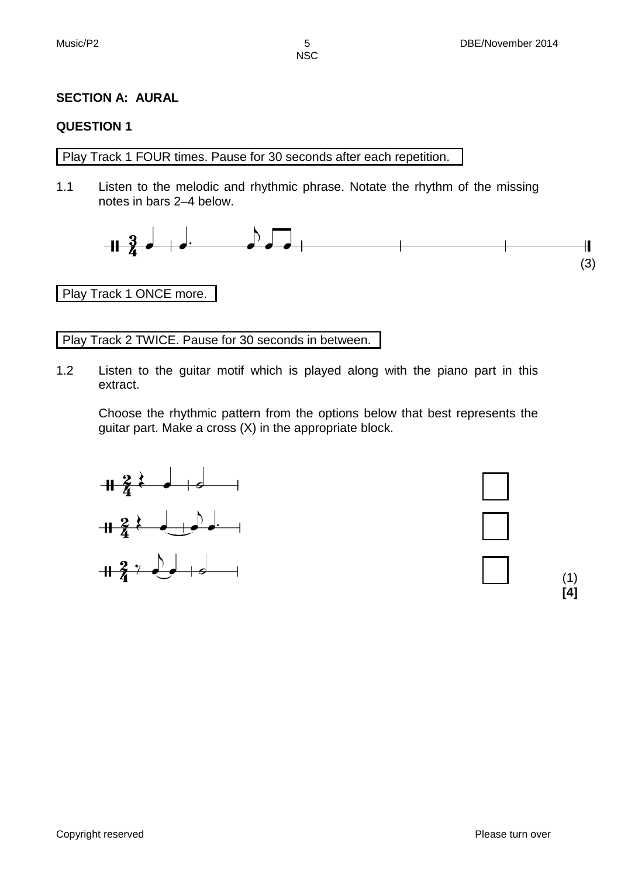#### **SECTION A: AURAL**

#### **QUESTION 1**

Play Track 1 FOUR times. Pause for 30 seconds after each repetition.

1.1 Listen to the melodic and rhythmic phrase. Notate the rhythm of the missing notes in bars 2–4 below.



(3)

#### Play Track 1 ONCE more.

Play Track 2 TWICE. Pause for 30 seconds in between.

1.2 Listen to the guitar motif which is played along with the piano part in this extract.

Choose the rhythmic pattern from the options below that best represents the guitar part. Make a cross (X) in the appropriate block.







Copyright reserved **Please turn over the Copyright reserved** Please turn over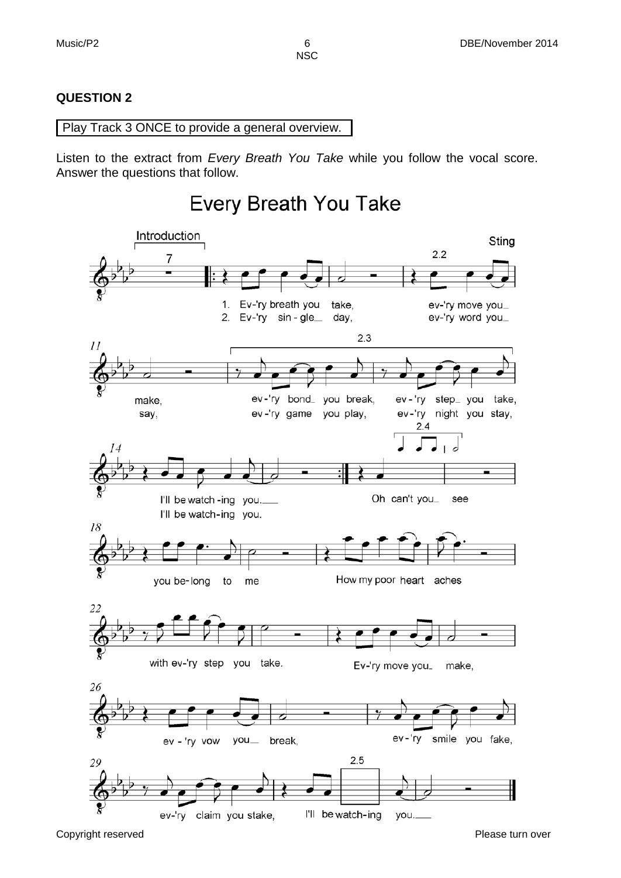Sting

**NSC** 

#### **QUESTION 2**

 $\bar{I}I$ 

#### Play Track 3 ONCE to provide a general overview.

I'll be watch-ing you.

Listen to the extract from *Every Breath You Take* while you follow the vocal score. Answer the questions that follow.

#### **Every Breath You Take** Introduction  $2.2$ 7 1. Ev-'ry breath you take. ev-'ry move you\_ 2. Ev-'ry sin-gle\_ day, ev-'ry word you\_  $2.3$ ev-'ry bond\_ you break, ev-'ry step\_ you take, make, ev-'ry night you stay, say, ev-'ry game you play,  $2.4$ 14 d Oh can't you\_ I'll be watch -ing you. see





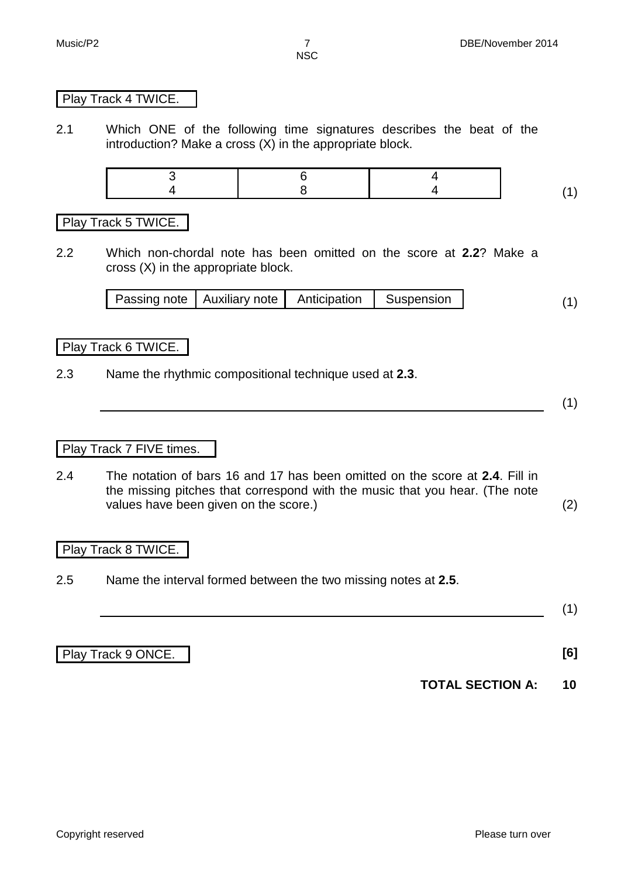#### Play Track 4 TWICE.

2.1 Which ONE of the following time signatures describes the beat of the introduction? Make a cross (X) in the appropriate block.

Play Track 5 TWICE.

2.2 Which non-chordal note has been omitted on the score at **2.2**? Make a cross (X) in the appropriate block.

| Passing note   Auxiliary note   Anticipation   Suspension |  |  |  |  |
|-----------------------------------------------------------|--|--|--|--|
|-----------------------------------------------------------|--|--|--|--|

Play Track 6 TWICE.

2.3 Name the rhythmic compositional technique used at **2.3**.

(1)

Play Track 7 FIVE times.

2.4 The notation of bars 16 and 17 has been omitted on the score at **2.4**. Fill in the missing pitches that correspond with the music that you hear. (The note values have been given on the score.) (2)

#### Play Track 8 TWICE.

2.5 Name the interval formed between the two missing notes at **2.5**.

(1)

Play Track 9 ONCE. **[6]**

**TOTAL SECTION A: 10**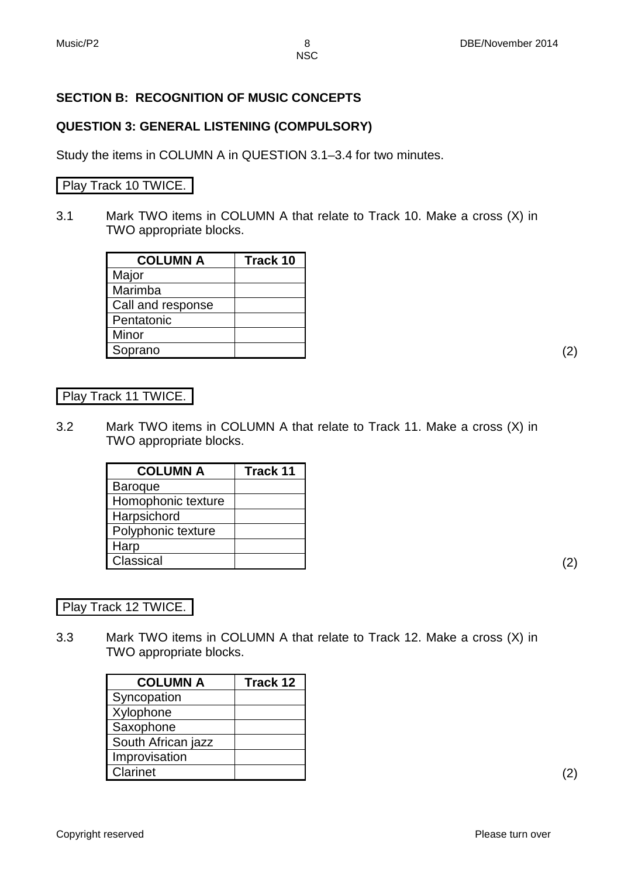#### **SECTION B: RECOGNITION OF MUSIC CONCEPTS**

#### **QUESTION 3: GENERAL LISTENING (COMPULSORY)**

Study the items in COLUMN A in QUESTION 3.1–3.4 for two minutes.

#### Play Track 10 TWICE.

3.1 Mark TWO items in COLUMN A that relate to Track 10. Make a cross (X) in TWO appropriate blocks.

| <b>COLUMN A</b>   | Track 10 |
|-------------------|----------|
| Major             |          |
| Marimba           |          |
| Call and response |          |
| Pentatonic        |          |
| Minor             |          |
| Soprano           |          |

#### Play Track 11 TWICE.

3.2 Mark TWO items in COLUMN A that relate to Track 11. Make a cross (X) in TWO appropriate blocks.

| <b>COLUMN A</b>    | Track 11 |
|--------------------|----------|
| <b>Baroque</b>     |          |
| Homophonic texture |          |
| Harpsichord        |          |
| Polyphonic texture |          |
| Harp               |          |
| Classical          |          |

Play Track 12 TWICE.

3.3 Mark TWO items in COLUMN A that relate to Track 12. Make a cross (X) in TWO appropriate blocks.

| <b>COLUMN A</b>    | Track 12 |
|--------------------|----------|
| Syncopation        |          |
| Xylophone          |          |
| Saxophone          |          |
| South African jazz |          |
| Improvisation      |          |
| Clarinet           |          |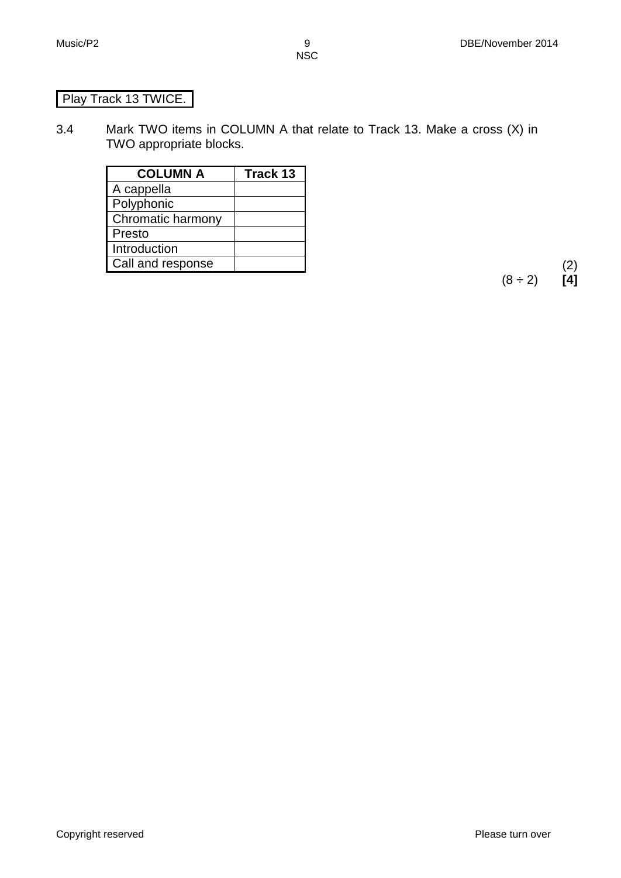# Play Track 13 TWICE.

3.4 Mark TWO items in COLUMN A that relate to Track 13. Make a cross (X) in TWO appropriate blocks.

| <b>COLUMN A</b>   | Track 13 |
|-------------------|----------|
| A cappella        |          |
| Polyphonic        |          |
| Chromatic harmony |          |
| Presto            |          |
| Introduction      |          |
| Call and response |          |

(2)<br>(8 ÷ 2) **[4]**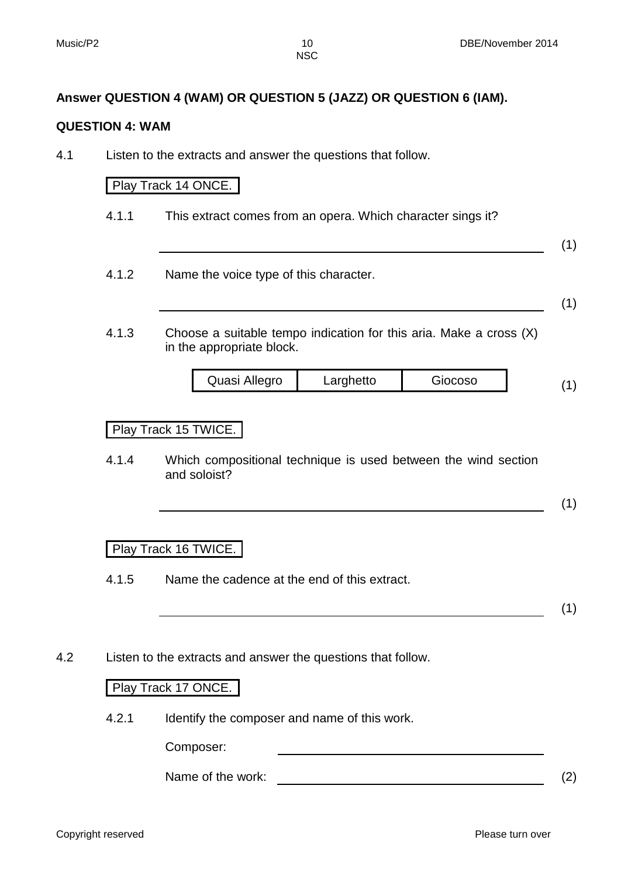#### **Answer QUESTION 4 (WAM) OR QUESTION 5 (JAZZ) OR QUESTION 6 (IAM).**

#### **QUESTION 4: WAM**

4.1 Listen to the extracts and answer the questions that follow.

#### Play Track 14 ONCE.

4.1.1 This extract comes from an opera. Which character sings it?

(1)

4.1.2 Name the voice type of this character.

(1)

4.1.3 Choose a suitable tempo indication for this aria. Make a cross (X) in the appropriate block.

| Quasi Allegro | Larghetto | Giocoso |  |
|---------------|-----------|---------|--|
|               |           |         |  |

#### Play Track 15 TWICE.

4.1.4 Which compositional technique is used between the wind section and soloist?

$$
(\mathbf{1})
$$

#### Play Track 16 TWICE.

4.1.5 Name the cadence at the end of this extract.

(1)

4.2 Listen to the extracts and answer the questions that follow.

#### Play Track 17 ONCE.

4.2.1 Identify the composer and name of this work.

Composer:

Name of the work: (2)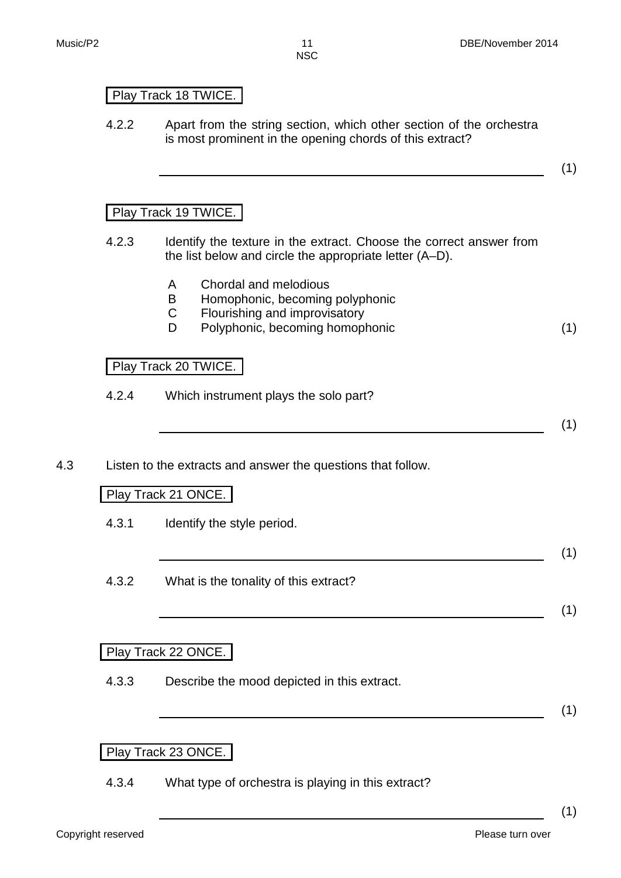## Play Track 18 TWICE.

4.2.2 Apart from the string section, which other section of the orchestra is most prominent in the opening chords of this extract?

# (1)

### Play Track 19 TWICE.

- 4.2.3 Identify the texture in the extract. Choose the correct answer from the list below and circle the appropriate letter (A–D).
	- A Chordal and melodious
	- B Homophonic, becoming polyphonic
	- C Flourishing and improvisatory
	- D Polyphonic, becoming homophonic (1)

#### Play Track 20 TWICE.

4.2.4 Which instrument plays the solo part?

(1)

4.3 Listen to the extracts and answer the questions that follow.

#### Play Track 21 ONCE.

4.3.1 Identify the style period.

(1)

(1)

4.3.2 What is the tonality of this extract?

#### Play Track 22 ONCE.

4.3.3 Describe the mood depicted in this extract.

(1)

(1)

## Play Track 23 ONCE.

4.3.4 What type of orchestra is playing in this extract?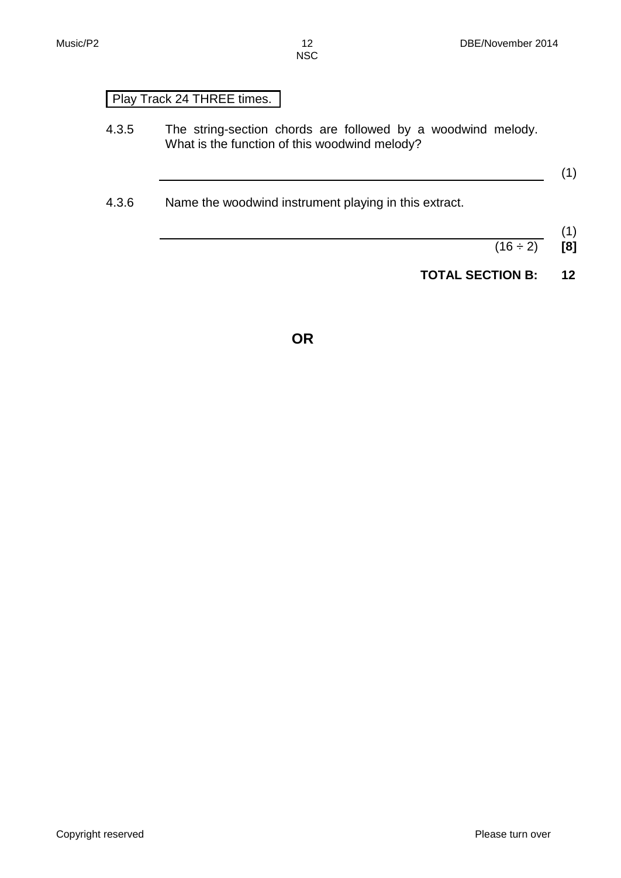# Play Track 24 THREE times.

- 4.3.5 The string-section chords are followed by a woodwind melody. What is the function of this woodwind melody?
- 4.3.6 Name the woodwind instrument playing in this extract.
- (1)

(1)

- $(16 \div 2)$  [8]
- **TOTAL SECTION B: 12**

**OR**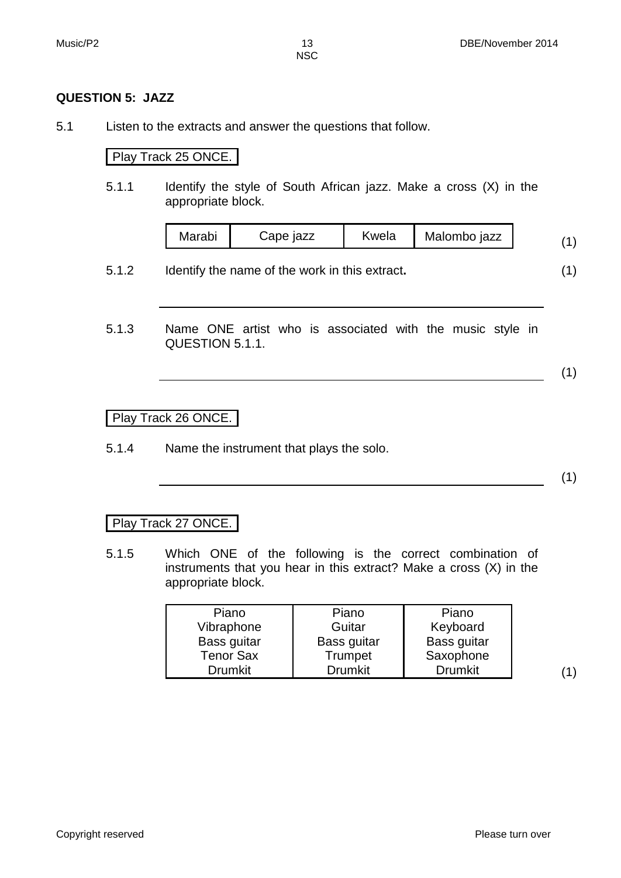#### **QUESTION 5: JAZZ**

5.1 Listen to the extracts and answer the questions that follow.

#### Play Track 25 ONCE.

5.1.1 Identify the style of South African jazz. Make a cross (X) in the appropriate block.

| Marabi | Cape jazz | Kwela | Malombo jazz |  |
|--------|-----------|-------|--------------|--|
|        |           |       |              |  |

- 5.1.2 Identify the name of the work in this extract**.** (1)
- 5.1.3 Name ONE artist who is associated with the music style in QUESTION 5.1.1.

(1)

Play Track 26 ONCE.

5.1.4 Name the instrument that plays the solo.

(1)

#### Play Track 27 ONCE.

5.1.5 Which ONE of the following is the correct combination of instruments that you hear in this extract? Make a cross (X) in the appropriate block.

| Piano<br>Vibraphone | Piano<br>Guitar | Piano<br>Keyboard |
|---------------------|-----------------|-------------------|
| Bass guitar         | Bass guitar     | Bass guitar       |
| <b>Tenor Sax</b>    | Trumpet         | Saxophone         |
| <b>Drumkit</b>      | <b>Drumkit</b>  | <b>Drumkit</b>    |

 $(1)$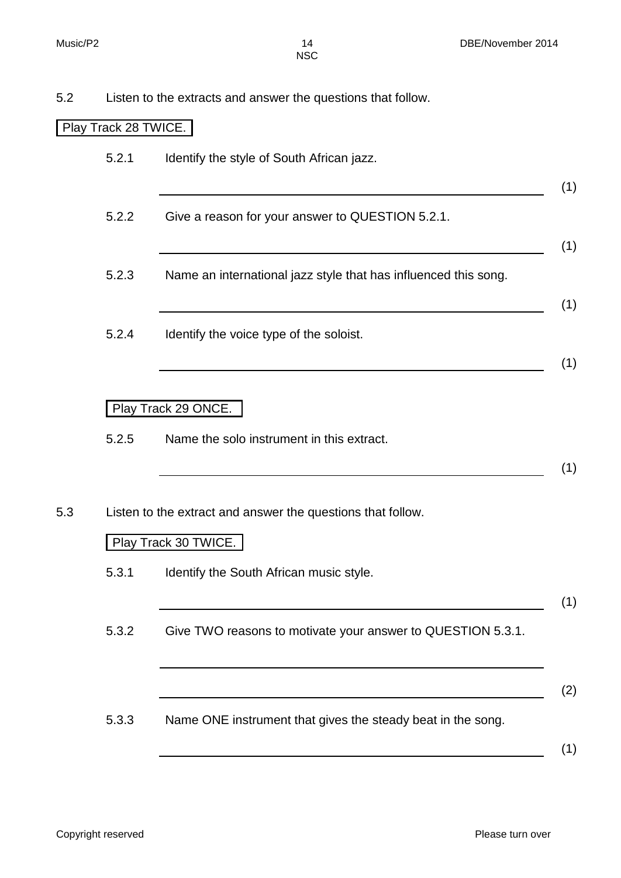| 5.2 | Listen to the extracts and answer the questions that follow. |  |  |
|-----|--------------------------------------------------------------|--|--|
|-----|--------------------------------------------------------------|--|--|

# Play Track 28 TWICE.

|       | Identify the style of South African jazz.                                           |
|-------|-------------------------------------------------------------------------------------|
| 5.2.2 | Give a reason for your answer to QUESTION 5.2.1.                                    |
| 5.2.3 | Name an international jazz style that has influenced this song.                     |
| 5.2.4 | Identify the voice type of the soloist.                                             |
|       | Play Track 29 ONCE.                                                                 |
| 5.2.5 | Name the solo instrument in this extract.                                           |
|       | Listen to the extract and answer the questions that follow.<br>Play Track 30 TWICE. |
| 5.3.1 | Identify the South African music style.                                             |
| 5.3.2 | Give TWO reasons to motivate your answer to QUESTION 5.3.1.                         |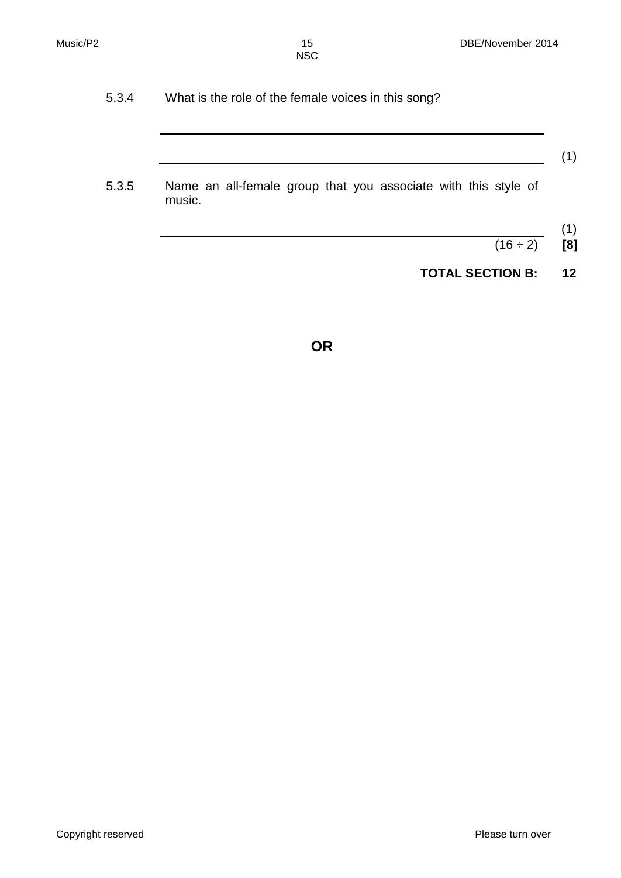5.3.4 What is the role of the female voices in this song?

### (1)

- 5.3.5 Name an all-female group that you associate with this style of music.
	- (1)
	- $(16 \div 2)$  **[8]**
	- **TOTAL SECTION B: 12**

**OR**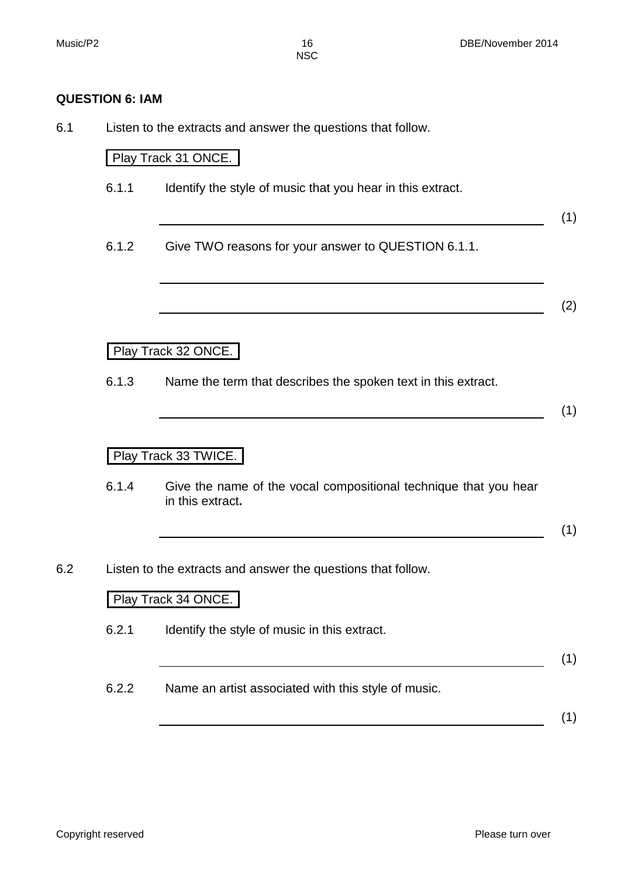#### **QUESTION 6: IAM**

6.1 Listen to the extracts and answer the questions that follow.

Play Track 31 ONCE.

6.1.1 Identify the style of music that you hear in this extract.

(1)

6.1.2 Give TWO reasons for your answer to QUESTION 6.1.1.

(2)

Play Track 32 ONCE.

6.1.3 Name the term that describes the spoken text in this extract.

(1)

Play Track 33 TWICE.

6.1.4 Give the name of the vocal compositional technique that you hear in this extract**.**

(1)

6.2 Listen to the extracts and answer the questions that follow.

#### Play Track 34 ONCE.

6.2.1 Identify the style of music in this extract.

(1)

6.2.2 Name an artist associated with this style of music.

(1)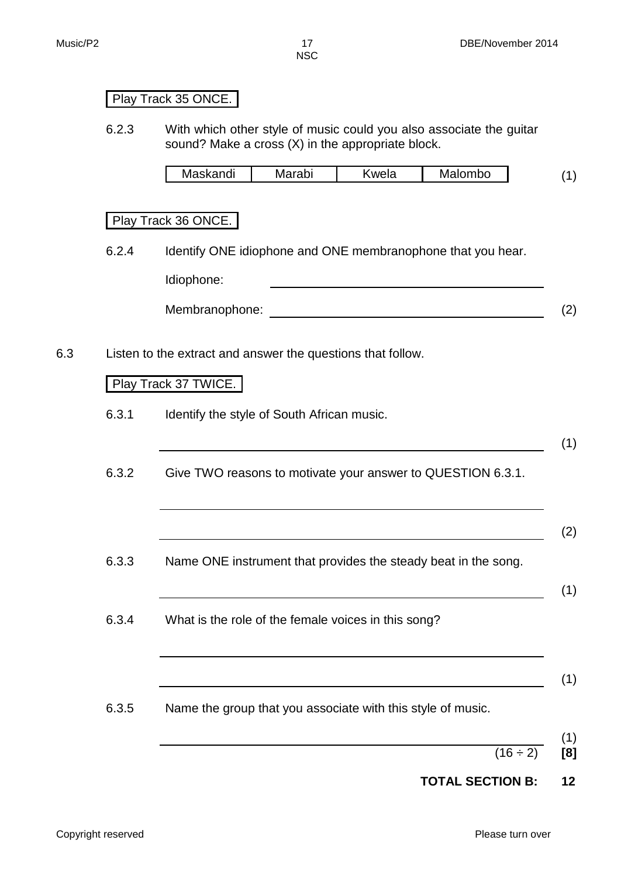# Play Track 35 ONCE.

6.2.3 With which other style of music could you also associate the guitar sound? Make a cross (X) in the appropriate block.

| Maskandi | nn h<br>avi<br>'VI. | wela | Mak<br>alombo |  |
|----------|---------------------|------|---------------|--|
|----------|---------------------|------|---------------|--|

## Play Track 36 ONCE.

6.2.4 Identify ONE idiophone and ONE membranophone that you hear.

Idiophone:

- Membranophone: (2)
- 6.3 Listen to the extract and answer the questions that follow.

#### Play Track 37 TWICE.

- 6.3.1 Identify the style of South African music.
- 6.3.2 Give TWO reasons to motivate your answer to QUESTION 6.3.1.
	- (2)
- 6.3.3 Name ONE instrument that provides the steady beat in the song.
- 6.3.4 What is the role of the female voices in this song?
	- (1)
- 6.3.5 Name the group that you associate with this style of music.
- (1)  $(16 \div 2)$  **[8]**

(1)

(1)

## **TOTAL SECTION B: 12**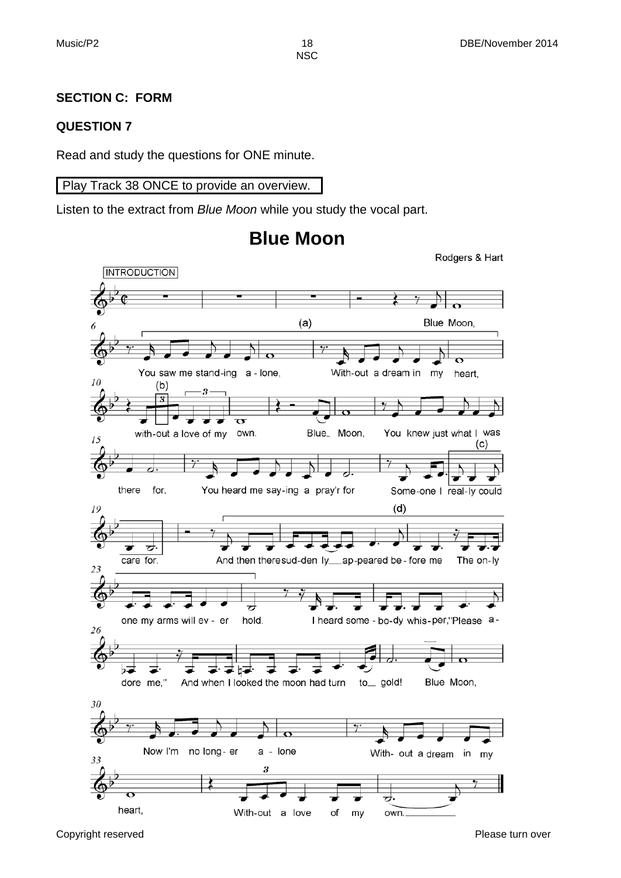#### **SECTION C: FORM**

#### **QUESTION 7**

Read and study the questions for ONE minute.

#### Play Track 38 ONCE to provide an overview.

Listen to the extract from *Blue Moon* while you study the vocal part.



# **Blue Moon**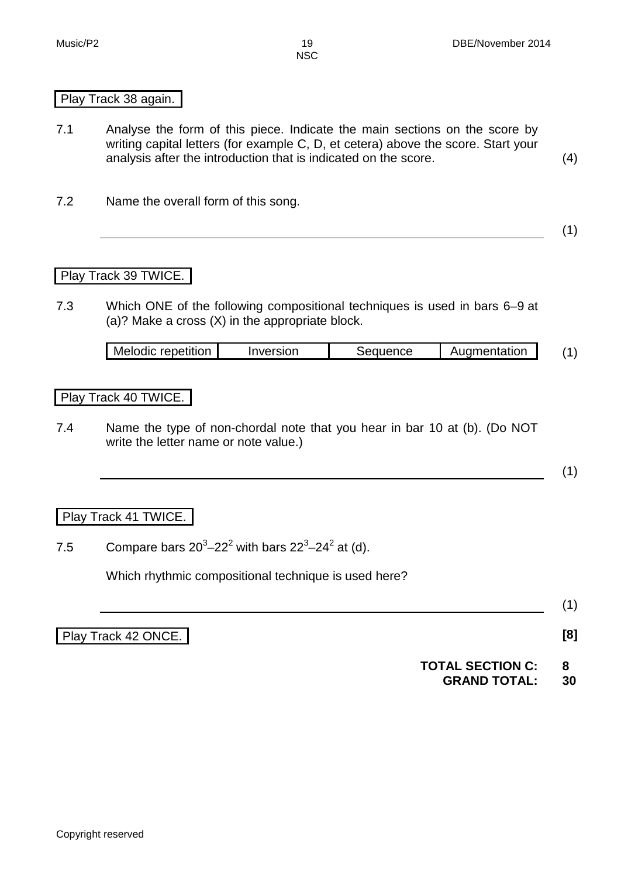#### Play Track 38 again.

- 7.1 Analyse the form of this piece. Indicate the main sections on the score by writing capital letters (for example C, D, et cetera) above the score. Start your analysis after the introduction that is indicated on the score. (4)
- 7.2 Name the overall form of this song.

#### Play Track 39 TWICE.

7.3 Which ONE of the following compositional techniques is used in bars 6–9 at (a)? Make a cross (X) in the appropriate block.

| Melodic repetition<br>Auamentation<br>Seauence<br>Inversion |  |  |
|-------------------------------------------------------------|--|--|
|-------------------------------------------------------------|--|--|

#### Play Track 40 TWICE.

7.4 Name the type of non-chordal note that you hear in bar 10 at (b). (Do NOT write the letter name or note value.)

(1)

(1)

#### Play Track 41 TWICE.

7.5 Compare bars  $20^3 - 22^2$  with bars  $22^3 - 24^2$  at (d).

Which rhythmic compositional technique is used here?

Play Track 42 ONCE. **[8]**

(1)

**TOTAL SECTION C: 8 GRAND TOTAL: 30**